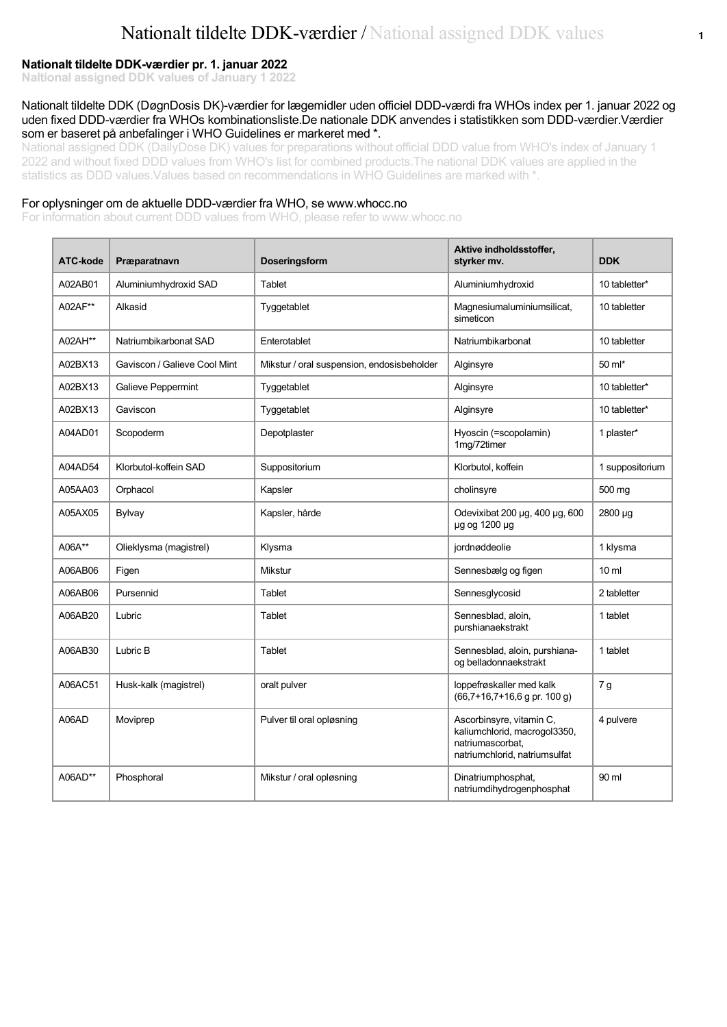#### **Nationalt tildelte DDK-værdier pr. 1. januar 2022**

**Naltional assigned DDK values of January 1 2022**

#### Nationalt tildelte DDK (DøgnDosis DK)-værdier for lægemidler uden officiel DDD-værdi fra WHOs index per 1. januar 2022 og uden fixed DDD-værdier fra WHOs kombinationsliste.De nationale DDK anvendes i statistikken som DDD-værdier.Værdier som er baseret på anbefalinger i WHO Guidelines er markeret med \*.

National assigned DDK (DailyDose DK) values for preparations without official DDD value from WHO's index of January 1 2022 and without fixed DDD values from WHO's list for combined products.The national DDK values are applied in the statistics as DDD values. Values based on recommendations in WHO Guidelines are marked with \*.

#### For oplysninger om de aktuelle DDD-værdier fra WHO, se www.whocc.no

For information about current DDD values from WHO, please refer to www.whocc.no

| ATC-kode | Præparatnavn                 | <b>Doseringsform</b>                       | Aktive indholdsstoffer,<br>styrker mv.                                                                        | <b>DDK</b>       |
|----------|------------------------------|--------------------------------------------|---------------------------------------------------------------------------------------------------------------|------------------|
| A02AB01  | Aluminiumhydroxid SAD        | Tablet                                     | Aluminiumhydroxid                                                                                             | 10 tabletter*    |
| A02AF**  | Alkasid                      | Tyggetablet                                | Magnesiumaluminiumsilicat,<br>simeticon                                                                       | 10 tabletter     |
| A02AH**  | Natriumbikarbonat SAD        | Enterotablet                               | Natriumbikarbonat                                                                                             | 10 tabletter     |
| A02BX13  | Gaviscon / Galieve Cool Mint | Mikstur / oral suspension, endosisbeholder | Alginsyre                                                                                                     | 50 ml*           |
| A02BX13  | <b>Galieve Peppermint</b>    | Tyggetablet                                | Alginsyre                                                                                                     | 10 tabletter*    |
| A02BX13  | Gaviscon                     | Tyggetablet                                | Alginsyre                                                                                                     | 10 tabletter*    |
| A04AD01  | Scopoderm                    | Depotplaster                               | Hyoscin (=scopolamin)<br>1mg/72timer                                                                          | 1 plaster*       |
| A04AD54  | Klorbutol-koffein SAD        | Suppositorium                              | Klorbutol, koffein                                                                                            | 1 suppositorium  |
| A05AA03  | Orphacol                     | Kapsler                                    | cholinsyre                                                                                                    | 500 mg           |
| A05AX05  | <b>Bylvay</b>                | Kapsler, hårde                             | Odevixibat 200 µg, 400 µg, 600<br>µg og 1200 µg                                                               | 2800 µg          |
| A06A**   | Olieklysma (magistrel)       | Klysma                                     | jordnøddeolie                                                                                                 | 1 klysma         |
| A06AB06  | Figen                        | Mikstur                                    | Sennesbælg og figen                                                                                           | 10 <sub>ml</sub> |
| A06AB06  | Pursennid                    | Tablet                                     | Sennesglycosid                                                                                                | 2 tabletter      |
| A06AB20  | Lubric                       | Tablet                                     | Sennesblad, aloin,<br>purshianaekstrakt                                                                       | 1 tablet         |
| A06AB30  | Lubric B                     | Tablet                                     | Sennesblad, aloin, purshiana-<br>og belladonnaekstrakt                                                        | 1 tablet         |
| A06AC51  | Husk-kalk (magistrel)        | oralt pulver                               | loppefrøskaller med kalk<br>$(66,7+16,7+16,6)$ g pr. 100 g)                                                   | 7g               |
| A06AD    | Moviprep                     | Pulver til oral opløsning                  | Ascorbinsyre, vitamin C,<br>kaliumchlorid, macrogol3350,<br>natriumascorbat.<br>natriumchlorid, natriumsulfat | 4 pulvere        |
| A06AD**  | Phosphoral                   | Mikstur / oral opløsning                   | Dinatriumphosphat,<br>natriumdihydrogenphosphat                                                               | 90 ml            |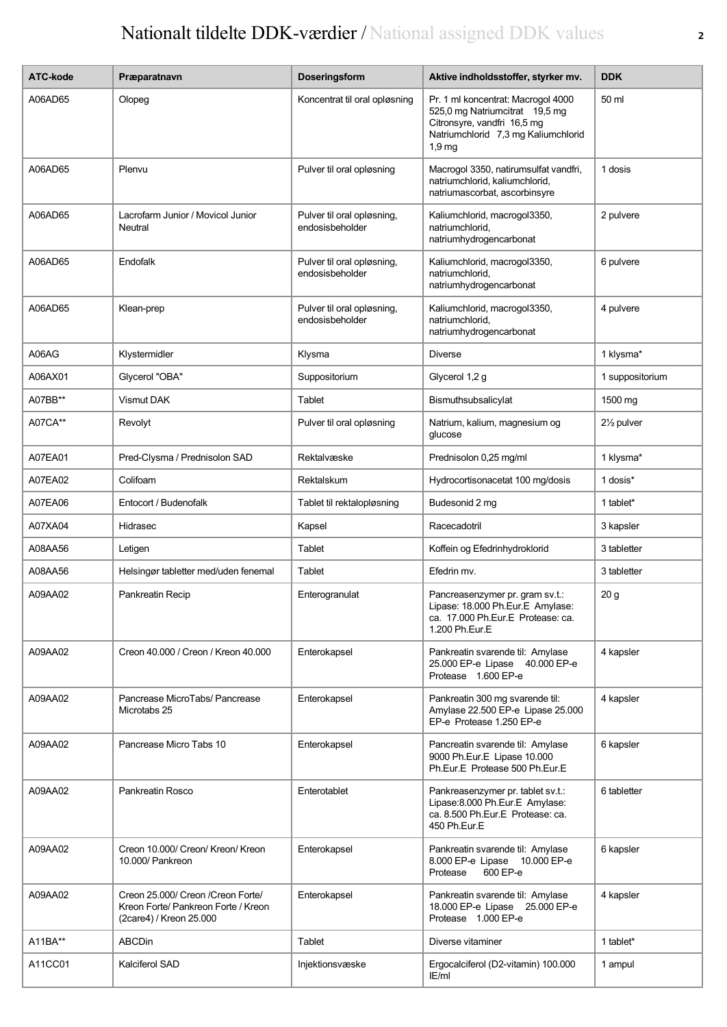| ATC-kode | Præparatnavn                                                                                         | Doseringsform                                 | Aktive indholdsstoffer, styrker mv.                                                                                                                             | <b>DDK</b>              |
|----------|------------------------------------------------------------------------------------------------------|-----------------------------------------------|-----------------------------------------------------------------------------------------------------------------------------------------------------------------|-------------------------|
| A06AD65  | Olopeg                                                                                               | Koncentrat til oral opløsning                 | Pr. 1 ml koncentrat: Macrogol 4000<br>525,0 mg Natriumcitrat 19,5 mg<br>Citronsyre, vandfri 16,5 mg<br>Natriumchlorid 7,3 mg Kaliumchlorid<br>1.9 <sub>mg</sub> | 50 ml                   |
| A06AD65  | Plenvu                                                                                               | Pulver til oral opløsning                     | Macrogol 3350, natirumsulfat vandfri,<br>natriumchlorid, kaliumchlorid,<br>natriumascorbat, ascorbinsyre                                                        | 1 dosis                 |
| A06AD65  | Lacrofarm Junior / Movicol Junior<br>Neutral                                                         | Pulver til oral opløsning,<br>endosisbeholder | Kaliumchlorid, macrogol3350,<br>natriumchlorid,<br>natriumhydrogencarbonat                                                                                      | 2 pulvere               |
| A06AD65  | Endofalk                                                                                             | Pulver til oral opløsning,<br>endosisbeholder | Kaliumchlorid, macrogol3350,<br>natriumchlorid,<br>natriumhydrogencarbonat                                                                                      | 6 pulvere               |
| A06AD65  | Klean-prep                                                                                           | Pulver til oral opløsning,<br>endosisbeholder | Kaliumchlorid, macrogol3350,<br>natriumchlorid.<br>natriumhydrogencarbonat                                                                                      | 4 pulvere               |
| A06AG    | Klystermidler                                                                                        | Klysma                                        | <b>Diverse</b>                                                                                                                                                  | 1 klysma*               |
| A06AX01  | Glycerol "OBA"                                                                                       | Suppositorium                                 | Glycerol 1,2 g                                                                                                                                                  | 1 suppositorium         |
| A07BB**  | Vismut DAK                                                                                           | Tablet                                        | Bismuthsubsalicylat                                                                                                                                             | 1500 mg                 |
| A07CA**  | Revolyt                                                                                              | Pulver til oral opløsning                     | Natrium, kalium, magnesium og<br>qlucose                                                                                                                        | 21/ <sub>2</sub> pulver |
| A07EA01  | Pred-Clysma / Prednisolon SAD                                                                        | Rektalvæske                                   | Prednisolon 0,25 mg/ml                                                                                                                                          | 1 klysma*               |
| A07EA02  | Colifoam                                                                                             | Rektalskum                                    | Hydrocortisonacetat 100 mg/dosis                                                                                                                                | 1 dosis*                |
| A07EA06  | Entocort / Budenofalk                                                                                | Tablet til rektalopløsning                    | Budesonid 2 mg                                                                                                                                                  | 1 tablet*               |
| A07XA04  | Hidrasec                                                                                             | Kapsel                                        | Racecadotril                                                                                                                                                    | 3 kapsler               |
| A08AA56  | Letigen                                                                                              | Tablet                                        | Koffein og Efedrinhydroklorid                                                                                                                                   | 3 tabletter             |
| A08AA56  | Helsingør tabletter med/uden fenemal                                                                 | Tablet                                        | Efedrin mv.                                                                                                                                                     | 3 tabletter             |
| A09AA02  | Pankreatin Recip                                                                                     | Enterogranulat                                | Pancreasenzymer pr. gram sv.t.:<br>Lipase: 18.000 Ph.Eur.E Amylase:<br>ca. 17.000 Ph.Eur.E Protease: ca.<br>1.200 Ph.Eur.E                                      | 20 g                    |
| A09AA02  | Creon 40.000 / Creon / Kreon 40.000                                                                  | Enterokapsel                                  | Pankreatin svarende til: Amylase<br>25.000 EP-e Lipase 40.000 EP-e<br>Protease 1.600 EP-e                                                                       | 4 kapsler               |
| A09AA02  | Pancrease MicroTabs/ Pancrease<br>Microtabs 25                                                       | Enterokapsel                                  | Pankreatin 300 mg svarende til:<br>Amylase 22.500 EP-e Lipase 25.000<br>EP-e Protease 1.250 EP-e                                                                | 4 kapsler               |
| A09AA02  | Pancrease Micro Tabs 10                                                                              | Enterokapsel                                  | Pancreatin svarende til: Amylase<br>9000 Ph.Eur.E Lipase 10.000<br>Ph.Eur.E Protease 500 Ph.Eur.E                                                               | 6 kapsler               |
| A09AA02  | Pankreatin Rosco                                                                                     | Enterotablet                                  | Pankreasenzymer pr. tablet sv.t.:<br>Lipase: 8.000 Ph.Eur.E Amylase:<br>ca. 8.500 Ph.Eur.E Protease: ca.<br>450 Ph.Eur.E                                        | 6 tabletter             |
| A09AA02  | Creon 10.000/ Creon/ Kreon/ Kreon<br>10.000/ Pankreon                                                | Enterokapsel                                  | Pankreatin svarende til: Amylase<br>8.000 EP-e Lipase 10.000 EP-e<br>600 EP-e<br>Protease                                                                       | 6 kapsler               |
| A09AA02  | Creon 25.000/ Creon / Creon Forte/<br>Kreon Forte/ Pankreon Forte / Kreon<br>(2care4) / Kreon 25.000 | Enterokapsel                                  | Pankreatin svarende til: Amylase<br>18.000 EP-e Lipase 25.000 EP-e<br>Protease 1.000 EP-e                                                                       | 4 kapsler               |
| A11BA**  | <b>ABCDin</b>                                                                                        | Tablet                                        | Diverse vitaminer                                                                                                                                               | 1 tablet*               |
| A11CC01  | Kalciferol SAD                                                                                       | Injektionsvæske                               | Ergocalciferol (D2-vitamin) 100.000<br>IE/ml                                                                                                                    | 1 ampul                 |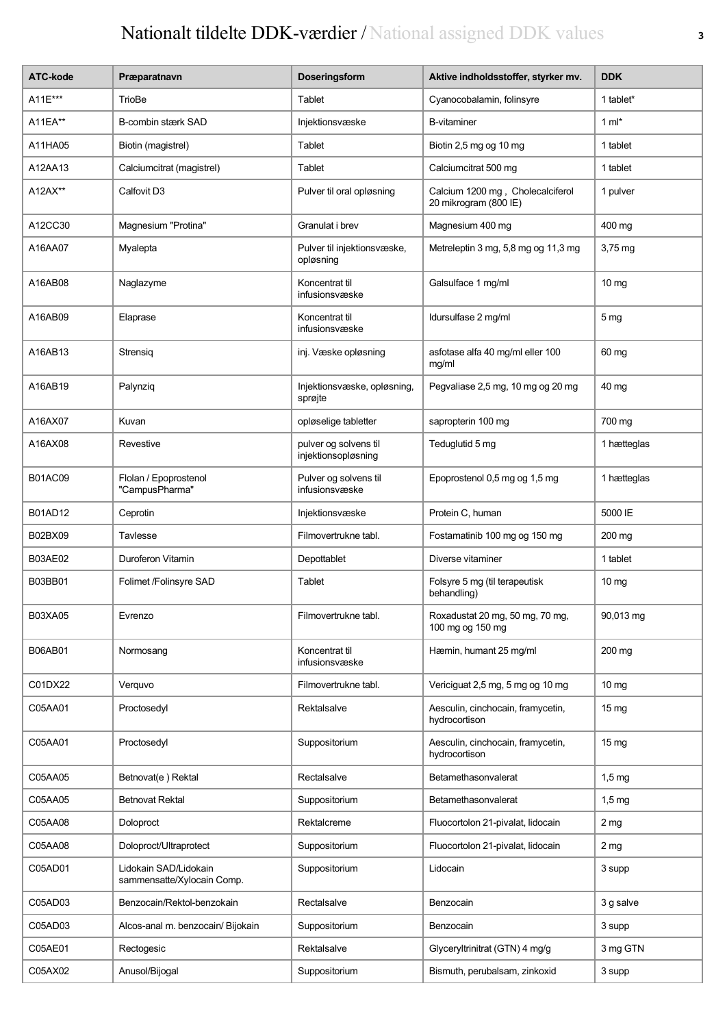| <b>ATC-kode</b> | Præparatnavn                                        | Doseringsform                                | Aktive indholdsstoffer, styrker mv.                       | <b>DDK</b>       |
|-----------------|-----------------------------------------------------|----------------------------------------------|-----------------------------------------------------------|------------------|
| A11E***         | TrioBe                                              | Tablet                                       | Cyanocobalamin, folinsyre                                 | 1 tablet*        |
| A11EA**         | B-combin stærk SAD                                  | Injektionsvæske                              | <b>B-vitaminer</b>                                        | 1 $ml*$          |
| A11HA05         | Biotin (magistrel)                                  | Tablet                                       | Biotin 2,5 mg og 10 mg                                    | 1 tablet         |
| A12AA13         | Calciumcitrat (magistrel)                           | Tablet                                       | Calciumcitrat 500 mg                                      | 1 tablet         |
| A12AX**         | Calfovit D3                                         | Pulver til oral opløsning                    | Calcium 1200 mg, Cholecalciferol<br>20 mikrogram (800 IE) | 1 pulver         |
| A12CC30         | Magnesium "Protina"                                 | Granulat i brev                              | Magnesium 400 mg                                          | 400 mg           |
| A16AA07         | Myalepta                                            | Pulver til injektionsvæske,<br>opløsning     | Metreleptin 3 mg, 5,8 mg og 11,3 mg                       | $3,75$ mg        |
| A16AB08         | Naglazyme                                           | Koncentrat til<br>infusionsvæske             | Galsulface 1 mg/ml                                        | 10 mg            |
| A16AB09         | Elaprase                                            | Koncentrat til<br>infusionsvæske             | Idursulfase 2 mg/ml                                       | 5 <sub>mg</sub>  |
| A16AB13         | Strensig                                            | inj. Væske opløsning                         | asfotase alfa 40 mg/ml eller 100<br>mg/ml                 | 60 mg            |
| A16AB19         | Palynziq                                            | Injektionsvæske, opløsning,<br>sprøjte       | Pegvaliase 2,5 mg, 10 mg og 20 mg                         | 40 mg            |
| A16AX07         | Kuvan                                               | opløselige tabletter                         | sapropterin 100 mg                                        | 700 mg           |
| A16AX08         | Revestive                                           | pulver og solvens til<br>injektionsopløsning | Teduglutid 5 mg                                           | 1 hætteglas      |
| <b>B01AC09</b>  | Flolan / Epoprostenol<br>"CampusPharma"             | Pulver og solvens til<br>infusionsvæske      | Epoprostenol 0,5 mg og 1,5 mg                             | 1 hætteglas      |
| B01AD12         | Ceprotin                                            | Injektionsvæske                              | Protein C, human                                          | 5000 IE          |
| B02BX09         | Tavlesse                                            | Filmovertrukne tabl.                         | Fostamatinib 100 mg og 150 mg                             | 200 mg           |
| <b>B03AE02</b>  | Duroferon Vitamin                                   | Depottablet                                  | Diverse vitaminer                                         | 1 tablet         |
| B03BB01         | Folimet /Folinsyre SAD                              | Tablet                                       | Folsyre 5 mg (til terapeutisk<br>behandling)              | 10 <sub>mg</sub> |
| B03XA05         | Evrenzo                                             | Filmovertrukne tabl.                         | Roxadustat 20 mg, 50 mg, 70 mg,<br>100 mg og 150 mg       | 90,013 mg        |
| B06AB01         | Normosang                                           | Koncentrat til<br>infusionsvæske             | Hæmin, humant 25 mg/ml                                    | 200 mg           |
| C01DX22         | Verquvo                                             | Filmovertrukne tabl.                         | Vericiguat 2,5 mg, 5 mg og 10 mg                          | 10 <sub>mg</sub> |
| C05AA01         | Proctosedyl                                         | Rektalsalve                                  | Aesculin, cinchocain, framycetin,<br>hydrocortison        | 15 <sub>mg</sub> |
| C05AA01         | Proctosedyl                                         | Suppositorium                                | Aesculin, cinchocain, framycetin,<br>hydrocortison        | 15 <sub>mg</sub> |
| C05AA05         | Betnovat(e) Rektal                                  | Rectalsalve                                  | Betamethasonvalerat                                       | $1,5$ mg         |
| C05AA05         | <b>Betnovat Rektal</b>                              | Suppositorium                                | Betamethasonvalerat                                       | $1,5$ mg         |
| C05AA08         | Doloproct                                           | Rektalcreme                                  | Fluocortolon 21-pivalat, lidocain                         | 2 <sub>mg</sub>  |
| C05AA08         | Doloproct/Ultraprotect                              | Suppositorium                                | Fluocortolon 21-pivalat, lidocain                         | 2 <sub>mg</sub>  |
| C05AD01         | Lidokain SAD/Lidokain<br>sammensatte/Xylocain Comp. | Suppositorium                                | Lidocain                                                  | 3 supp           |
| C05AD03         | Benzocain/Rektol-benzokain                          | Rectalsalve                                  | Benzocain                                                 | 3 g salve        |
| C05AD03         | Alcos-anal m. benzocain/ Bijokain                   | Suppositorium                                | Benzocain                                                 | 3 supp           |
| C05AE01         | Rectogesic                                          | Rektalsalve                                  | Glyceryltrinitrat (GTN) 4 mg/g                            | 3 mg GTN         |
| C05AX02         | Anusol/Bijogal                                      | Suppositorium                                | Bismuth, perubalsam, zinkoxid                             | 3 supp           |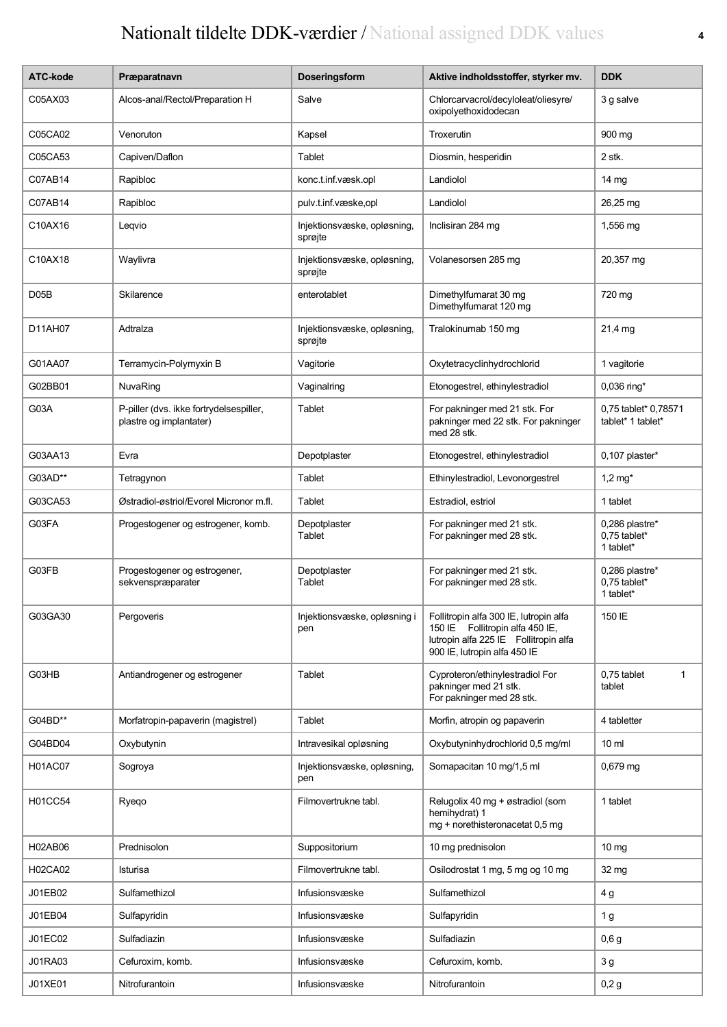| ATC-kode       | Præparatnavn                                                       | Doseringsform                          | Aktive indholdsstoffer, styrker mv.                                                                                                                | <b>DDK</b>                                  |
|----------------|--------------------------------------------------------------------|----------------------------------------|----------------------------------------------------------------------------------------------------------------------------------------------------|---------------------------------------------|
| C05AX03        | Alcos-anal/Rectol/Preparation H                                    | Salve                                  | Chlorcarvacrol/decyloleat/oliesyre/<br>oxipolyethoxidodecan                                                                                        | 3 g salve                                   |
| C05CA02        | Venoruton                                                          | Kapsel                                 | Troxerutin                                                                                                                                         | 900 mg                                      |
| C05CA53        | Capiven/Daflon                                                     | Tablet                                 | Diosmin, hesperidin                                                                                                                                | 2 stk.                                      |
| C07AB14        | Rapibloc                                                           | konc.t.inf.væsk.opl                    | Landiolol                                                                                                                                          | $14 \text{ mg}$                             |
| C07AB14        | Rapibloc                                                           | pulv.t.inf.væske,opl                   | Landiolol                                                                                                                                          | 26,25 mg                                    |
| C10AX16        | Leqvio                                                             | Injektionsvæske, opløsning,<br>sprøjte | Inclisiran 284 mg                                                                                                                                  | 1,556 mg                                    |
| C10AX18        | Waylivra                                                           | Injektionsvæske, opløsning,<br>sprøjte | Volanesorsen 285 mg                                                                                                                                | 20,357 mg                                   |
| D05B           | Skilarence                                                         | enterotablet                           | Dimethylfumarat 30 mg<br>Dimethylfumarat 120 mg                                                                                                    | 720 mg                                      |
| D11AH07        | Adtralza                                                           | Injektionsvæske, opløsning,<br>sprøjte | Tralokinumab 150 mg                                                                                                                                | 21,4 mg                                     |
| G01AA07        | Terramycin-Polymyxin B                                             | Vagitorie                              | Oxytetracyclinhydrochlorid                                                                                                                         | 1 vagitorie                                 |
| G02BB01        | NuvaRing                                                           | Vaginalring                            | Etonogestrel, ethinylestradiol                                                                                                                     | 0,036 ring*                                 |
| G03A           | P-piller (dvs. ikke fortrydelsespiller,<br>plastre og implantater) | Tablet                                 | For pakninger med 21 stk. For<br>pakninger med 22 stk. For pakninger<br>med 28 stk.                                                                | 0,75 tablet* 0,78571<br>tablet* 1 tablet*   |
| G03AA13        | Evra                                                               | Depotplaster                           | Etonogestrel, ethinylestradiol                                                                                                                     | 0,107 plaster*                              |
| G03AD**        | Tetragynon                                                         | Tablet                                 | Ethinylestradiol, Levonorgestrel                                                                                                                   | 1,2 $mg*$                                   |
| G03CA53        | Østradiol-østriol/Evorel Micronor m.fl.                            | Tablet                                 | Estradiol, estriol                                                                                                                                 | 1 tablet                                    |
| G03FA          | Progestogener og estrogener, komb.                                 | Depotplaster<br>Tablet                 | For pakninger med 21 stk.<br>For pakninger med 28 stk.                                                                                             | 0,286 plastre*<br>0,75 tablet*<br>1 tablet* |
| G03FB          | Progestogener og estrogener,<br>sekvenspræparater                  | Depotplaster<br>Tablet                 | For pakninger med 21 stk.<br>For pakninger med 28 stk.                                                                                             | 0,286 plastre*<br>0,75 tablet*<br>1 tablet* |
| G03GA30        | Pergoveris                                                         | Injektionsvæske, opløsning i<br>pen    | Follitropin alfa 300 IE, lutropin alfa<br>150 IE Follitropin alfa 450 IE,<br>lutropin alfa 225 IE Follitropin alfa<br>900 IE, lutropin alfa 450 IE | 150 IE                                      |
| G03HB          | Antiandrogener og estrogener                                       | Tablet                                 | Cyproteron/ethinylestradiol For<br>pakninger med 21 stk.<br>For pakninger med 28 stk.                                                              | 0,75 tablet<br>$\mathbf{1}$<br>tablet       |
| G04BD**        | Morfatropin-papaverin (magistrel)                                  | Tablet                                 | Morfin, atropin og papaverin                                                                                                                       | 4 tabletter                                 |
| G04BD04        | Oxybutynin                                                         | Intravesikal opløsning                 | Oxybutyninhydrochlorid 0,5 mg/ml                                                                                                                   | 10 <sub>ml</sub>                            |
| <b>H01AC07</b> | Sogroya                                                            | Injektionsvæske, opløsning,<br>pen     | Somapacitan 10 mg/1,5 ml                                                                                                                           | $0,679$ mg                                  |
| H01CC54        | Ryeqo                                                              | Filmovertrukne tabl.                   | Relugolix 40 mg + østradiol (som<br>hemihydrat) 1<br>mg + norethisteronacetat 0,5 mg                                                               | 1 tablet                                    |
| H02AB06        | Prednisolon                                                        | Suppositorium                          | 10 mg prednisolon                                                                                                                                  | $10 \mathrm{mg}$                            |
| H02CA02        | Isturisa                                                           | Filmovertrukne tabl.                   | Osilodrostat 1 mg, 5 mg og 10 mg                                                                                                                   | 32 mg                                       |
| J01EB02        | Sulfamethizol                                                      | Infusionsvæske                         | Sulfamethizol                                                                                                                                      | 4 g                                         |
| J01EB04        | Sulfapyridin                                                       | Infusionsvæske                         | Sulfapyridin                                                                                                                                       | 1 <sub>g</sub>                              |
| J01EC02        | Sulfadiazin                                                        | Infusionsvæske                         | Sulfadiazin                                                                                                                                        | 0,6g                                        |
| J01RA03        | Cefuroxim, komb.                                                   | Infusionsvæske                         | Cefuroxim, komb.                                                                                                                                   | 3g                                          |
| J01XE01        | Nitrofurantoin                                                     | Infusionsvæske                         | Nitrofurantoin                                                                                                                                     | 0,2g                                        |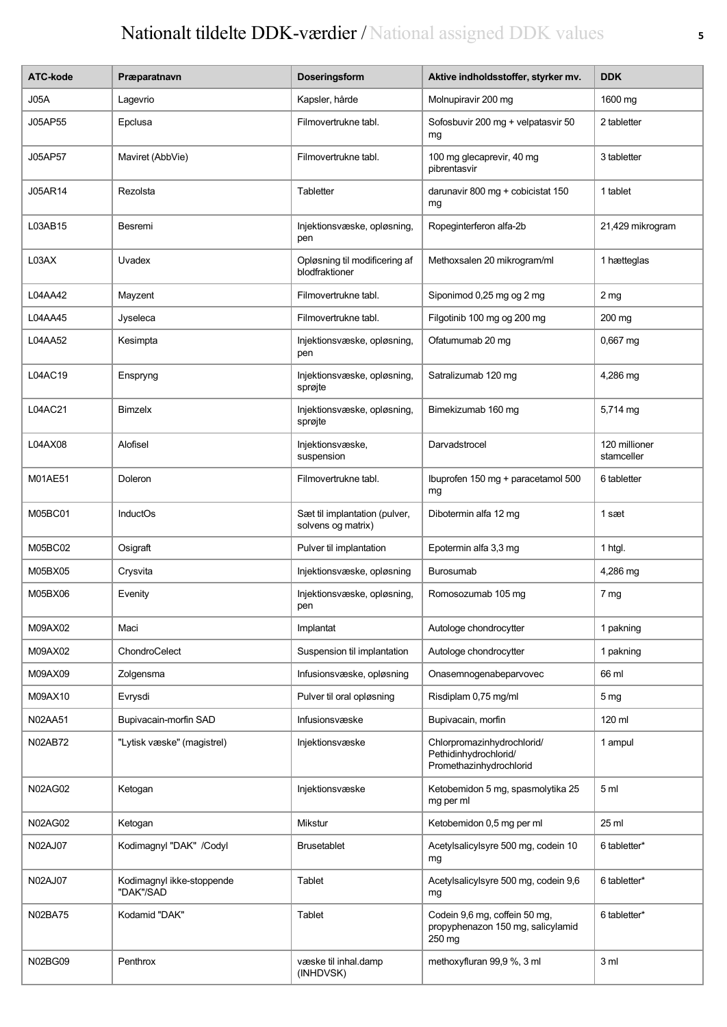| ATC-kode | Præparatnavn                           | <b>Doseringsform</b>                                | Aktive indholdsstoffer, styrker mv.                                            | <b>DDK</b>                  |
|----------|----------------------------------------|-----------------------------------------------------|--------------------------------------------------------------------------------|-----------------------------|
| J05A     | Lagevrio                               | Kapsler, hårde                                      | Molnupiravir 200 mg                                                            | 1600 mg                     |
| J05AP55  | Epclusa                                | Filmovertrukne tabl.                                | Sofosbuvir 200 mg + velpatasvir 50<br>mg                                       | 2 tabletter                 |
| J05AP57  | Maviret (AbbVie)                       | Filmovertrukne tabl.                                | 100 mg glecaprevir, 40 mg<br>pibrentasvir                                      | 3 tabletter                 |
| J05AR14  | Rezolsta                               | Tabletter                                           | darunavir 800 mg + cobicistat 150<br>mg                                        | 1 tablet                    |
| L03AB15  | Besremi                                | Injektionsvæske, opløsning,<br>pen                  | Ropeginterferon alfa-2b                                                        | 21,429 mikrogram            |
| L03AX    | Uvadex                                 | Opløsning til modificering af<br>blodfraktioner     | Methoxsalen 20 mikrogram/ml                                                    | 1 hætteglas                 |
| L04AA42  | Mayzent                                | Filmovertrukne tabl.                                | Siponimod 0,25 mg og 2 mg                                                      | 2 <sub>mg</sub>             |
| L04AA45  | Jyseleca                               | Filmovertrukne tabl.                                | Filgotinib 100 mg og 200 mg                                                    | 200 mg                      |
| L04AA52  | Kesimpta                               | Injektionsvæske, opløsning,<br>pen                  | Ofatumumab 20 mg                                                               | $0,667$ mg                  |
| L04AC19  | Enspryng                               | Injektionsvæske, opløsning,<br>sprøjte              | Satralizumab 120 mg                                                            | 4,286 mg                    |
| L04AC21  | Bimzelx                                | Injektionsvæske, opløsning,<br>sprøjte              | Bimekizumab 160 mg                                                             | 5,714 mg                    |
| L04AX08  | Alofisel                               | Injektionsvæske,<br>suspension                      | Darvadstrocel                                                                  | 120 millioner<br>stamceller |
| M01AE51  | Doleron                                | Filmovertrukne tabl.                                | Ibuprofen 150 mg + paracetamol 500<br>mg                                       | 6 tabletter                 |
| M05BC01  | <b>InductOs</b>                        | Sæt til implantation (pulver,<br>solvens og matrix) | Dibotermin alfa 12 mg                                                          | 1 sæt                       |
| M05BC02  | Osigraft                               | Pulver til implantation                             | Epotermin alfa 3,3 mg                                                          | 1 htgl.                     |
| M05BX05  | Crysvita                               | Injektionsvæske, opløsning                          | <b>Burosumab</b>                                                               | 4,286 mg                    |
| M05BX06  | Evenity                                | Injektionsvæske, opløsning,<br>pen                  | Romosozumab 105 mg                                                             | 7 mg                        |
| M09AX02  | Maci                                   | Implantat                                           | Autologe chondrocytter                                                         | 1 pakning                   |
| M09AX02  | ChondroCelect                          | Suspension til implantation                         | Autologe chondrocytter                                                         | 1 pakning                   |
| M09AX09  | Zolgensma                              | Infusionsvæske, opløsning                           | Onasemnogenabeparvovec                                                         | 66 ml                       |
| M09AX10  | Evrysdi                                | Pulver til oral opløsning                           | Risdiplam 0,75 mg/ml                                                           | 5 <sub>mg</sub>             |
| N02AA51  | Bupivacain-morfin SAD                  | Infusionsvæske                                      | Bupivacain, morfin                                                             | 120 ml                      |
| N02AB72  | "Lytisk væske" (magistrel)             | Injektionsvæske                                     | Chlorpromazinhydrochlorid/<br>Pethidinhydrochlorid/<br>Promethazinhydrochlorid | 1 ampul                     |
| N02AG02  | Ketogan                                | Injektionsvæske                                     | Ketobemidon 5 mg, spasmolytika 25<br>mg per ml                                 | 5 <sub>m</sub>              |
| N02AG02  | Ketogan                                | Mikstur                                             | Ketobemidon 0,5 mg per ml                                                      | 25 ml                       |
| N02AJ07  | Kodimagnyl "DAK" /Codyl                | <b>Brusetablet</b>                                  | Acetylsalicylsyre 500 mg, codein 10<br>mg                                      | 6 tabletter*                |
| N02AJ07  | Kodimagnyl ikke-stoppende<br>"DAK"/SAD | Tablet                                              | Acetylsalicylsyre 500 mg, codein 9,6<br>mg                                     | 6 tabletter*                |
| N02BA75  | Kodamid "DAK"                          | Tablet                                              | Codein 9,6 mg, coffein 50 mg,<br>propyphenazon 150 mg, salicylamid<br>250 mg   | 6 tabletter*                |
| N02BG09  | Penthrox                               | væske til inhal.damp<br>(INHDVSK)                   | methoxyfluran 99,9 %, 3 ml                                                     | 3 <sub>m</sub>              |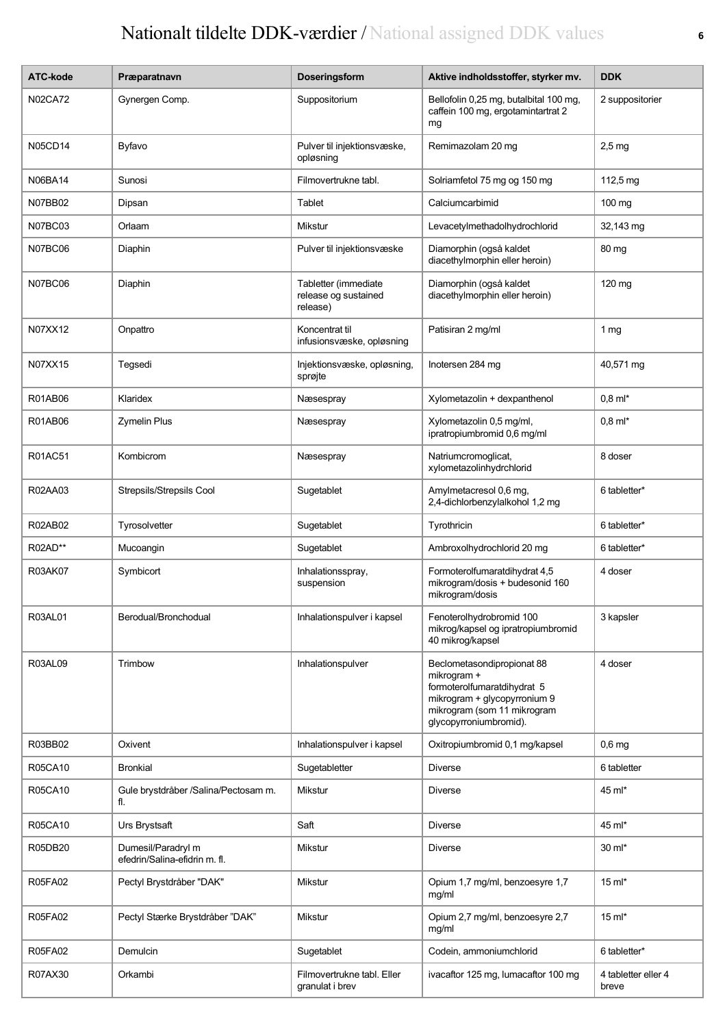| ATC-kode       | Præparatnavn                                        | Doseringsform                                            | Aktive indholdsstoffer, styrker mv.                                                                                                                               | <b>DDK</b>                   |
|----------------|-----------------------------------------------------|----------------------------------------------------------|-------------------------------------------------------------------------------------------------------------------------------------------------------------------|------------------------------|
| <b>N02CA72</b> | Gynergen Comp.                                      | Suppositorium                                            | Bellofolin 0,25 mg, butalbital 100 mg,<br>caffein 100 mg, ergotamintartrat 2<br>mg                                                                                | 2 suppositorier              |
| <b>N05CD14</b> | Byfavo                                              | Pulver til injektionsvæske,<br>opløsning                 | Remimazolam 20 mg                                                                                                                                                 | $2,5$ mg                     |
| N06BA14        | Sunosi                                              | Filmovertrukne tabl.                                     | Solriamfetol 75 mg og 150 mg                                                                                                                                      | 112,5 mg                     |
| N07BB02        | Dipsan                                              | Tablet                                                   | Calciumcarbimid                                                                                                                                                   | 100 mg                       |
| <b>N07BC03</b> | Orlaam                                              | Mikstur                                                  | Levacetylmethadolhydrochlorid                                                                                                                                     | 32,143 mg                    |
| N07BC06        | Diaphin                                             | Pulver til injektionsvæske                               | Diamorphin (også kaldet<br>diacethylmorphin eller heroin)                                                                                                         | 80 mg                        |
| N07BC06        | Diaphin                                             | Tabletter (immediate<br>release og sustained<br>release) | Diamorphin (også kaldet<br>diacethylmorphin eller heroin)                                                                                                         | 120 mg                       |
| N07XX12        | Onpattro                                            | Koncentrat til<br>infusionsvæske, opløsning              | Patisiran 2 mg/ml                                                                                                                                                 | 1 $mg$                       |
| N07XX15        | Tegsedi                                             | Injektionsvæske, opløsning,<br>sprøjte                   | Inotersen 284 mg                                                                                                                                                  | 40,571 mg                    |
| R01AB06        | Klaridex                                            | Næsespray                                                | Xylometazolin + dexpanthenol                                                                                                                                      | $0,8$ m $\frac{*}{*}$        |
| R01AB06        | <b>Zymelin Plus</b>                                 | Næsespray                                                | Xylometazolin 0,5 mg/ml,<br>ipratropiumbromid 0,6 mg/ml                                                                                                           | $0,8$ m $\frac{*}{*}$        |
| R01AC51        | Kombicrom                                           | Næsespray                                                | Natriumcromoglicat,<br>xylometazolinhydrchlorid                                                                                                                   | 8 doser                      |
| R02AA03        | Strepsils/Strepsils Cool                            | Sugetablet                                               | Amylmetacresol 0,6 mg,<br>2,4-dichlorbenzylalkohol 1,2 mg                                                                                                         | 6 tabletter*                 |
| R02AB02        | Tyrosolvetter                                       | Sugetablet                                               | Tyrothricin                                                                                                                                                       | 6 tabletter*                 |
| R02AD**        | Mucoangin                                           | Sugetablet                                               | Ambroxolhydrochlorid 20 mg                                                                                                                                        | 6 tabletter*                 |
| R03AK07        | Symbicort                                           | Inhalationsspray,<br>suspension                          | Formoterolfumaratdihydrat 4,5<br>mikrogram/dosis + budesonid 160<br>mikrogram/dosis                                                                               | 4 doser                      |
| R03AL01        | Berodual/Bronchodual                                | Inhalationspulver i kapsel                               | Fenoterolhydrobromid 100<br>mikrog/kapsel og ipratropiumbromid<br>40 mikrog/kapsel                                                                                | 3 kapsler                    |
| R03AL09        | Trimbow                                             | Inhalationspulver                                        | Beclometasondipropionat 88<br>mikrogram +<br>formoterolfumaratdihydrat 5<br>mikrogram + glycopyrronium 9<br>mikrogram (som 11 mikrogram<br>glycopyrroniumbromid). | 4 doser                      |
| R03BB02        | Oxivent                                             | Inhalationspulver i kapsel                               | Oxitropiumbromid 0,1 mg/kapsel                                                                                                                                    | $0,6$ mg                     |
| R05CA10        | <b>Bronkial</b>                                     | Sugetabletter                                            | <b>Diverse</b>                                                                                                                                                    | 6 tabletter                  |
| R05CA10        | Gule brystdråber /Salina/Pectosam m.<br>fl.         | Mikstur                                                  | <b>Diverse</b>                                                                                                                                                    | 45 ml*                       |
| R05CA10        | Urs Brystsaft                                       | Saft                                                     | <b>Diverse</b>                                                                                                                                                    | 45 ml*                       |
| R05DB20        | Dumesil/Paradryl m<br>efedrin/Salina-efidrin m. fl. | Mikstur                                                  | <b>Diverse</b>                                                                                                                                                    | 30 ml*                       |
| R05FA02        | Pectyl Brystdråber "DAK"                            | Mikstur                                                  | Opium 1,7 mg/ml, benzoesyre 1,7<br>mg/ml                                                                                                                          | $15 \text{ ml}^*$            |
| <b>R05FA02</b> | Pectyl Stærke Brystdråber "DAK"                     | Mikstur                                                  | Opium 2,7 mg/ml, benzoesyre 2,7<br>mg/ml                                                                                                                          | $15$ m $\text{m}^*$          |
| <b>R05FA02</b> | Demulcin                                            | Sugetablet                                               | Codein, ammoniumchlorid                                                                                                                                           | 6 tabletter*                 |
| R07AX30        | Orkambi                                             | Filmovertrukne tabl. Eller<br>granulat i brev            | ivacaftor 125 mg, lumacaftor 100 mg                                                                                                                               | 4 tabletter eller 4<br>breve |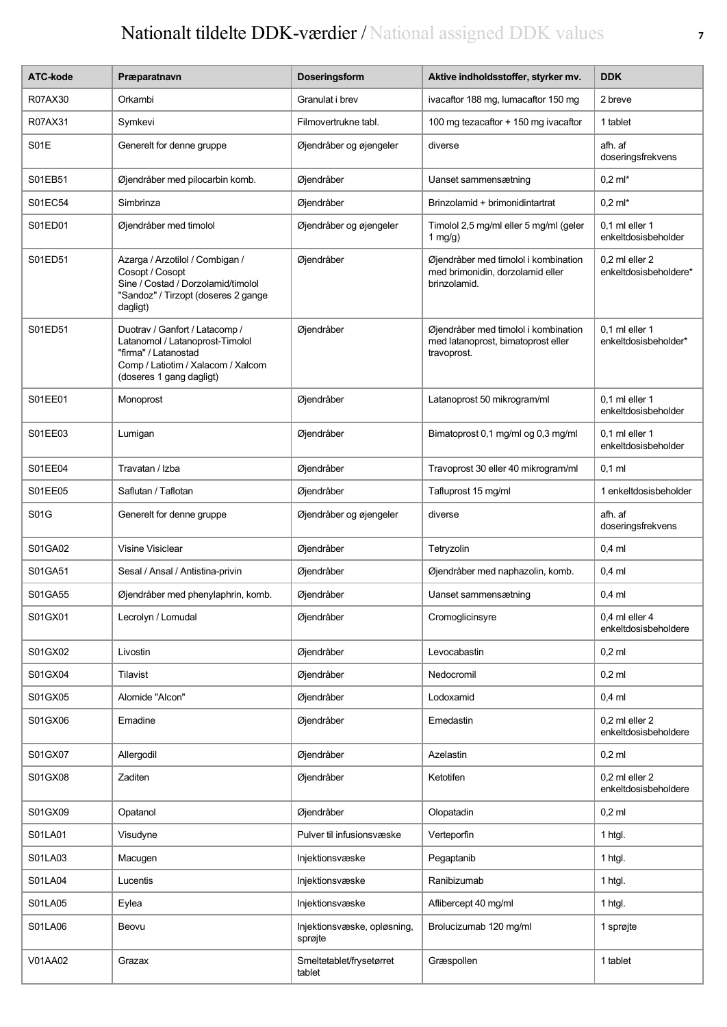| ATC-kode | Præparatnavn                                                                                                                                                | <b>Doseringsform</b>                   | Aktive indholdsstoffer, styrker mv.                                                       | <b>DDK</b>                                |
|----------|-------------------------------------------------------------------------------------------------------------------------------------------------------------|----------------------------------------|-------------------------------------------------------------------------------------------|-------------------------------------------|
| R07AX30  | Orkambi                                                                                                                                                     | Granulat i brev                        | ivacaftor 188 mg, lumacaftor 150 mg                                                       | 2 breve                                   |
| R07AX31  | Symkevi                                                                                                                                                     | Filmovertrukne tabl.                   | 100 mg tezacaftor + 150 mg ivacaftor                                                      | 1 tablet                                  |
| S01E     | Generelt for denne gruppe                                                                                                                                   | Øjendråber og øjengeler                | diverse                                                                                   | afh. af<br>doseringsfrekvens              |
| S01EB51  | Øjendråber med pilocarbin komb.                                                                                                                             | Øjendråber                             | Uanset sammensætning                                                                      | $0,2$ ml*                                 |
| S01EC54  | Simbrinza                                                                                                                                                   | Øjendråber                             | Brinzolamid + brimonidintartrat                                                           | $0.2$ ml*                                 |
| S01ED01  | Øjendråber med timolol                                                                                                                                      | Øjendråber og øjengeler                | Timolol 2,5 mg/ml eller 5 mg/ml (geler<br>1 $mg/g$ )                                      | $0.1$ ml eller $1$<br>enkeltdosisbeholder |
| S01ED51  | Azarga / Arzotilol / Combigan /<br>Cosopt / Cosopt<br>Sine / Costad / Dorzolamid/timolol<br>"Sandoz" / Tirzopt (doseres 2 gange<br>dagligt)                 | Øjendråber                             | Øjendråber med timolol i kombination<br>med brimonidin, dorzolamid eller<br>brinzolamid.  | 0,2 ml eller 2<br>enkeltdosisbeholdere*   |
| S01ED51  | Duotrav / Ganfort / Latacomp /<br>Latanomol / Latanoprost-Timolol<br>"firma" / Latanostad<br>Comp / Latiotim / Xalacom / Xalcom<br>(doseres 1 gang dagligt) | Øjendråber                             | Øjendråber med timolol i kombination<br>med latanoprost, bimatoprost eller<br>travoprost. | $0.1$ ml eller 1<br>enkeltdosisbeholder*  |
| S01EE01  | Monoprost                                                                                                                                                   | Øjendråber                             | Latanoprost 50 mikrogram/ml                                                               | $0.1$ ml eller 1<br>enkeltdosisbeholder   |
| S01EE03  | Lumigan                                                                                                                                                     | Øjendråber                             | Bimatoprost 0,1 mg/ml og 0,3 mg/ml                                                        | $0.1$ ml eller 1<br>enkeltdosisbeholder   |
| S01EE04  | Travatan / Izba                                                                                                                                             | Øjendråber                             | Travoprost 30 eller 40 mikrogram/ml                                                       | $0,1$ ml                                  |
| S01EE05  | Saflutan / Taflotan                                                                                                                                         | Øjendråber                             | Tafluprost 15 mg/ml                                                                       | 1 enkeltdosisbeholder                     |
| S01G     | Generelt for denne gruppe                                                                                                                                   | Øjendråber og øjengeler                | diverse                                                                                   | afh. af<br>doseringsfrekvens              |
| S01GA02  | Visine Visiclear                                                                                                                                            | Øjendråber                             | Tetryzolin                                                                                | $0,4$ ml                                  |
| S01GA51  | Sesal / Ansal / Antistina-privin                                                                                                                            | Øjendråber                             | Øjendråber med naphazolin, komb.                                                          | $0,4$ ml                                  |
| S01GA55  | Øjendråber med phenylaphrin, komb.                                                                                                                          | Øjendråber                             | Uanset sammensætning                                                                      | $0,4$ ml                                  |
| S01GX01  | Lecrolyn / Lomudal                                                                                                                                          | Øjendråber                             | Cromoglicinsyre                                                                           | 0,4 ml eller 4<br>enkeltdosisbeholdere    |
| S01GX02  | Livostin                                                                                                                                                    | Øjendråber                             | Levocabastin                                                                              | $0,2$ ml                                  |
| S01GX04  | Tilavist                                                                                                                                                    | Øjendråber                             | Nedocromil                                                                                | $0,2$ ml                                  |
| S01GX05  | Alomide "Alcon"                                                                                                                                             | Øjendråber                             | Lodoxamid                                                                                 | $0,4$ ml                                  |
| S01GX06  | Emadine                                                                                                                                                     | Øjendråber                             | Emedastin                                                                                 | 0,2 ml eller 2<br>enkeltdosisbeholdere    |
| S01GX07  | Allergodil                                                                                                                                                  | Øjendråber                             | Azelastin                                                                                 | $0.2$ ml                                  |
| S01GX08  | Zaditen                                                                                                                                                     | Øjendråber                             | Ketotifen                                                                                 | 0,2 ml eller 2<br>enkeltdosisbeholdere    |
| S01GX09  | Opatanol                                                                                                                                                    | Øjendråber                             | Olopatadin                                                                                | $0,2$ ml                                  |
| S01LA01  | Visudyne                                                                                                                                                    | Pulver til infusionsvæske              | Verteporfin                                                                               | 1 htgl.                                   |
| S01LA03  | Macugen                                                                                                                                                     | Injektionsvæske                        | Pegaptanib                                                                                | 1 htgl.                                   |
| S01LA04  | Lucentis                                                                                                                                                    | Injektionsvæske                        | Ranibizumab                                                                               | 1 htgl.                                   |
| S01LA05  | Eylea                                                                                                                                                       | Injektionsvæske                        | Aflibercept 40 mg/ml                                                                      | 1 htgl.                                   |
| S01LA06  | Beovu                                                                                                                                                       | Injektionsvæske, opløsning,<br>sprøjte | Brolucizumab 120 mg/ml                                                                    | 1 sprøjte                                 |
| V01AA02  | Grazax                                                                                                                                                      | Smeltetablet/frysetørret<br>tablet     | Græspollen                                                                                | 1 tablet                                  |